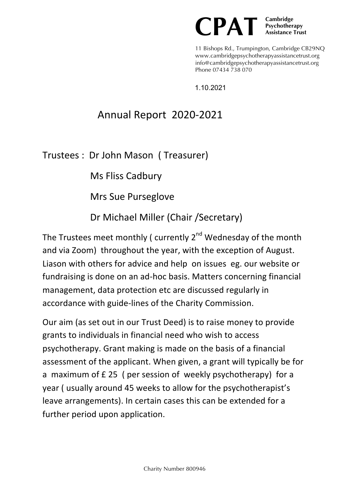

11 Bishops Rd., Trumpington, Cambridge CB29NQ www.cambridgepsychotherapyassistancetrust.org info@cambridgepsychotherapyassistancetrust.org Phone 07434 738 070

1.10.2021

## Annual Report 2020-2021

Trustees : Dr John Mason ( Treasurer)

Ms Fliss Cadbury

Mrs Sue Purseglove

Dr Michael Miller (Chair / Secretary)

The Trustees meet monthly ( currently  $2^{nd}$  Wednesday of the month and via Zoom) throughout the year, with the exception of August. Liason with others for advice and help on issues eg. our website or fundraising is done on an ad-hoc basis. Matters concerning financial management, data protection etc are discussed regularly in accordance with guide-lines of the Charity Commission.

Our aim (as set out in our Trust Deed) is to raise money to provide grants to individuals in financial need who wish to access psychotherapy. Grant making is made on the basis of a financial assessment of the applicant. When given, a grant will typically be for a maximum of £25 ( per session of weekly psychotherapy) for a year ( usually around 45 weeks to allow for the psychotherapist's leave arrangements). In certain cases this can be extended for a further period upon application.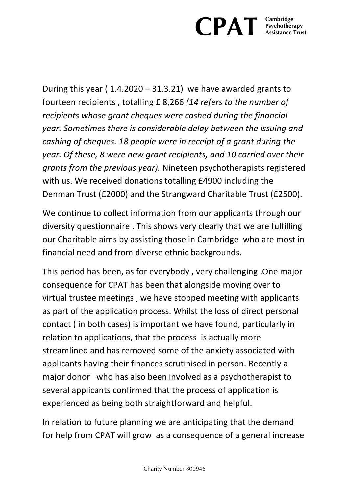## **CPAT Experiment Psychotherapy Assistance Trust**

During this year ( $1.4.2020 - 31.3.21$ ) we have awarded grants to fourteen recipients, totalling £8,266 (14 refers to the number of *recipients* whose grant cheques were cashed during the financial *year.* Sometimes there is considerable delay between the issuing and *cashing of cheques.* 18 people were in receipt of a grant during the *year.* Of these, 8 were new grant recipients, and 10 carried over their *grants from the previous year).* Nineteen psychotherapists registered with us. We received donations totalling £4900 including the Denman Trust (£2000) and the Strangward Charitable Trust (£2500).

We continue to collect information from our applicants through our diversity questionnaire . This shows very clearly that we are fulfilling our Charitable aims by assisting those in Cambridge who are most in financial need and from diverse ethnic backgrounds.

This period has been, as for everybody, very challenging .One major consequence for CPAT has been that alongside moving over to virtual trustee meetings, we have stopped meeting with applicants as part of the application process. Whilst the loss of direct personal contact (in both cases) is important we have found, particularly in relation to applications, that the process is actually more streamlined and has removed some of the anxiety associated with applicants having their finances scrutinised in person. Recently a major donor who has also been involved as a psychotherapist to several applicants confirmed that the process of application is experienced as being both straightforward and helpful.

In relation to future planning we are anticipating that the demand for help from CPAT will grow as a consequence of a general increase